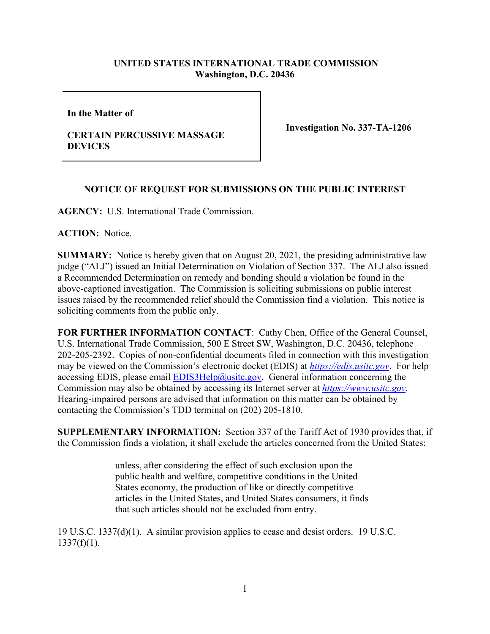## **UNITED STATES INTERNATIONAL TRADE COMMISSION Washington, D.C. 20436**

**In the Matter of** 

## **CERTAIN PERCUSSIVE MASSAGE DEVICES**

**Investigation No. 337-TA-1206**

## **NOTICE OF REQUEST FOR SUBMISSIONS ON THE PUBLIC INTEREST**

**AGENCY:** U.S. International Trade Commission.

**ACTION:** Notice.

**SUMMARY:** Notice is hereby given that on August 20, 2021, the presiding administrative law judge ("ALJ") issued an Initial Determination on Violation of Section 337. The ALJ also issued a Recommended Determination on remedy and bonding should a violation be found in the above-captioned investigation. The Commission is soliciting submissions on public interest issues raised by the recommended relief should the Commission find a violation. This notice is soliciting comments from the public only.

**FOR FURTHER INFORMATION CONTACT**: Cathy Chen, Office of the General Counsel, U.S. International Trade Commission, 500 E Street SW, Washington, D.C. 20436, telephone 202-205-2392. Copies of non-confidential documents filed in connection with this investigation may be viewed on the Commission's electronic docket (EDIS) at *[https://edis.usitc.gov](https://edis.usitc.gov/)*. For help accessing EDIS, please email  $EDIS3Help@ustc.gov$ . General information concerning the Commission may also be obtained by accessing its Internet server at *[https://www.usitc.gov](https://www.usitc.gov/)*. Hearing-impaired persons are advised that information on this matter can be obtained by contacting the Commission's TDD terminal on (202) 205-1810.

**SUPPLEMENTARY INFORMATION:** Section 337 of the Tariff Act of 1930 provides that, if the Commission finds a violation, it shall exclude the articles concerned from the United States:

> unless, after considering the effect of such exclusion upon the public health and welfare, competitive conditions in the United States economy, the production of like or directly competitive articles in the United States, and United States consumers, it finds that such articles should not be excluded from entry.

19 U.S.C. 1337(d)(1). A similar provision applies to cease and desist orders. 19 U.S.C.  $1337(f)(1)$ .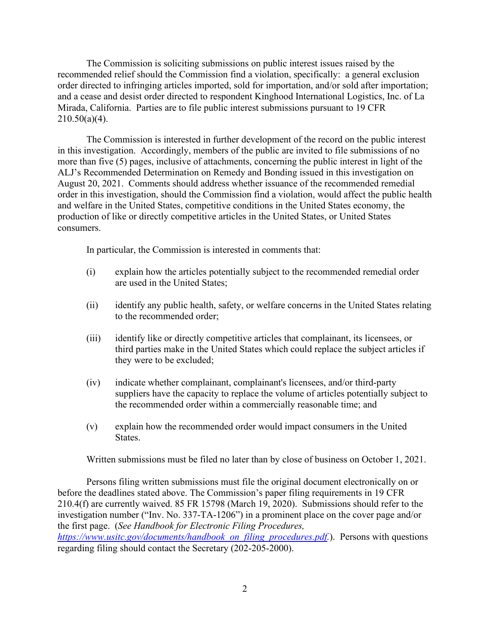The Commission is soliciting submissions on public interest issues raised by the recommended relief should the Commission find a violation, specifically: a general exclusion order directed to infringing articles imported, sold for importation, and/or sold after importation; and a cease and desist order directed to respondent Kinghood International Logistics, Inc. of La Mirada, California. Parties are to file public interest submissions pursuant to 19 CFR  $210.50(a)(4)$ .

The Commission is interested in further development of the record on the public interest in this investigation. Accordingly, members of the public are invited to file submissions of no more than five (5) pages, inclusive of attachments, concerning the public interest in light of the ALJ's Recommended Determination on Remedy and Bonding issued in this investigation on August 20, 2021.Comments should address whether issuance of the recommended remedial order in this investigation, should the Commission find a violation, would affect the public health and welfare in the United States, competitive conditions in the United States economy, the production of like or directly competitive articles in the United States, or United States consumers.

In particular, the Commission is interested in comments that:

- (i) explain how the articles potentially subject to the recommended remedial order are used in the United States;
- (ii) identify any public health, safety, or welfare concerns in the United States relating to the recommended order;
- (iii) identify like or directly competitive articles that complainant, its licensees, or third parties make in the United States which could replace the subject articles if they were to be excluded;
- (iv) indicate whether complainant, complainant's licensees, and/or third-party suppliers have the capacity to replace the volume of articles potentially subject to the recommended order within a commercially reasonable time; and
- (v) explain how the recommended order would impact consumers in the United States.

Written submissions must be filed no later than by close of business on October 1, 2021.

Persons filing written submissions must file the original document electronically on or before the deadlines stated above. The Commission's paper filing requirements in 19 CFR 210.4(f) are currently waived. 85 FR 15798 (March 19, 2020). Submissions should refer to the investigation number ("Inv. No. 337-TA-1206") in a prominent place on the cover page and/or the first page. (*See Handbook for Electronic Filing Procedures,* 

*[https://www.usitc.gov/documents/handbook\\_on\\_filing\\_procedures.pdf.](https://www.usitc.gov/documents/handbook_on_filing_procedures.pdf)*). Persons with questions regarding filing should contact the Secretary (202-205-2000).